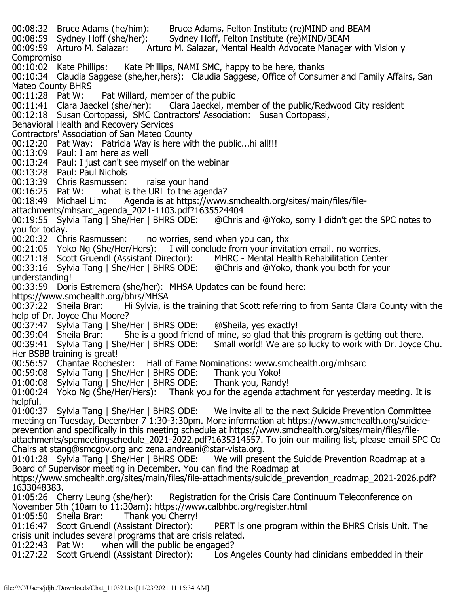00:08:32 Bruce Adams (he/him): Bruce Adams, Felton Institute (re)MIND and BEAM<br>00:08:59 Sydney Hoff (she/her): Sydney Hoff, Felton Institute (re)MIND/BEAM 00:08:59 Sydney Hoff (she/her): Sydney Hoff, Felton Institute (re)MIND/BEAM<br>00:09:59 Arturo M. Salazar: Arturo M. Salazar, Mental Health Advocate Manager Arturo M. Salazar, Mental Health Advocate Manager with Vision y Compromiso<br>00:10:02 Kate Phillips: Kate Phillips, NAMI SMC, happy to be here, thanks 00:10:34 Claudia Saggese (she,her,hers): Claudia Saggese, Office of Consumer and Family Affairs, San Mateo County BHRS<br>00:11:28 Pat W: 00:11:28 Pat W: Pat Willard, member of the public<br>00:11:41 Clara Jaeckel (she/her): Clara Jaeckel, me Clara Jaeckel, member of the public/Redwood City resident 00:12:18 Susan Cortopassi, SMC Contractors' Association: Susan Cortopassi, Behavioral Health and Recovery Services Contractors' Association of San Mateo County 00:12:20 Pat Way: Patricia Way is here with the public...hi all!!! 00:13:09 Paul: I am here as well 00:13:24 Paul: I just can't see myself on the webinar 00:13:28 Paul: Paul Nichols 00:13:39 Chris Rasmussen: raise your hand<br>00:16:25 Pat W: what is the URL to the age 00:16:25 Pat W: what is the URL to the agenda?<br>00:18:49 Michael Lim: Agenda is at https://www. Agenda is at https://www.smchealth.org/sites/main/files/fileattachments/mhsarc\_agenda\_2021-1103.pdf?1635524404<br>00:19:55 Sylvia Tang | She/Her | BHRS ODE: @Chris 00:19:55 Sylvia Tang | She/Her | BHRS ODE: @Chris and @Yoko, sorry I didn't get the SPC notes to you for today.<br>00:20:32 Chris Rasmussen: 00:20:32 Chris Rasmussen: no worries, send when you can, thx<br>00:21:05 Yoko Ng (She/Her/Hers): I will conclude from your invita I will conclude from your invitation email. no worries.<br>ector): MHRC - Mental Health Rehabilitation Center 00:21:18 Scott Gruendl (Assistant Director): MHRC - Mental Health Rehabilitation Center<br>00:33:16 Sylvia Tang | She/Her | BHRS ODE: @Chris and @Yoko, thank you both for your  $00:33:16$  Sylvia Tang | She/Her | BHRS ODE: understanding! 00:33:59 Doris Estremera (she/her): MHSA Updates can be found here: https://www.smchealth.org/bhrs/MHSA<br>00:37:22 Sheila Brar: Hi Sylvia, is 00:37:22 Sheila Brar: Hi Sylvia, is the training that Scott referring to from Santa Clara County with the help of Dr. Joyce Chu Moore? 00:37:47 Sylvia Tang | She/Her | BHRS ODE: @Sheila, yes exactly!<br>00:39:04 Sheila Brar: She is a good friend of mine, so glad that th 00:39:04 Sheila Brar: She is a good friend of mine, so glad that this program is getting out there.<br>00:39:41 Sylvia Tang | She/Her | BHRS ODE: Small world! We are so lucky to work with Dr. Joyce Small world! We are so lucky to work with Dr. Joyce Chu. Her BSBB training is great! 00:56:57 Chantae Rochester: Hall of Fame Nominations: www.smchealth.org/mhsarc 00:59:08 Sylvia Tang | She/Her | BHRS ODE: Thank you Yoko! 01:00:08 Sylvia Tang | She/Her | BHRS ODE: Thank you, Randy! 01:00:24 Yoko Ng (She/Her/Hers): Thank you for the agenda attachment for yesterday meeting. It is helpful.<br>01:00:37 Sylvia Tang | She/Her | BHRS ODE: We invite all to the next Suicide Prevention Committee meeting on Tuesday, December 7 1:30-3:30pm. More information at https://www.smchealth.org/suicideprevention and specifically in this meeting schedule at https://www.smchealth.org/sites/main/files/fileattachments/spcmeetingschedule\_2021-2022.pdf?1635314557. To join our mailing list, please email SPC Co Chairs at stang@smcgov.org and zena.andreani@star-vista.org.<br>01:01:28 Sylvia Tang | She/Her | BHRS ODE: We will present the Suicide Prevention Roadmap at a 01:01:28 Sylvia Tang | She/Her | BHRS ODE: Board of Supervisor meeting in December. You can find the Roadmap at https://www.smchealth.org/sites/main/files/file-attachments/suicide\_prevention\_roadmap\_2021-2026.pdf? 1633048383.<br>01:05:26 Cherry Leung (she/her): Registration for the Crisis Care Continuum Teleconference on November 5th (10am to 11:30am): https://www.calbhbc.org/register.html<br>01:05:50 Sheila Brar: Thank you Cherry! 01:05:50 Sheila Brar: Thank you Cherry!<br>01:16:47 Scott Gruendl (Assistant Director): PERT is one program within the BHRS Crisis Unit. The crisis unit includes several programs that are crisis related.<br>01:22:43 Pat W: when will the public be engaged? when will the public be engaged? 01:27:22 Scott Gruendl (Assistant Director): Los Angeles County had clinicians embedded in their